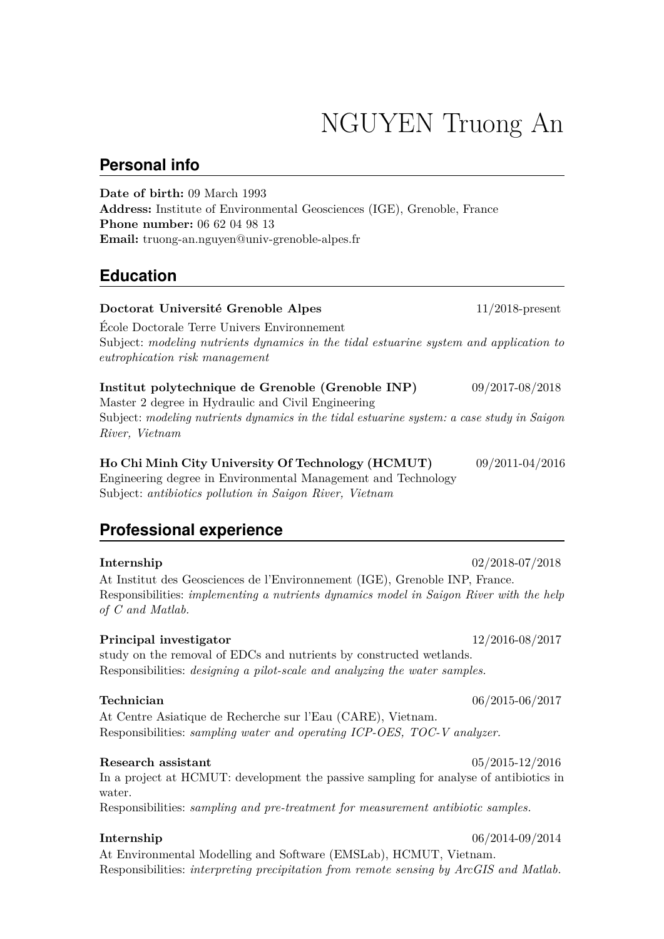# NGUYEN Truong An

### **Personal info**

**Date of birth:** 09 March 1993 **Address:** Institute of Environmental Geosciences (IGE), Grenoble, France **Phone number:** 06 62 04 98 13 **Email:** truong-an.nguyen@univ-grenoble-alpes.fr

# **Education**

| Doctorat Université Grenoble Alpes                                                                                                                                                                                      | $11/2018$ -present  |
|-------------------------------------------------------------------------------------------------------------------------------------------------------------------------------------------------------------------------|---------------------|
| Ecole Doctorale Terre Univers Environmement<br>Subject: modeling nutrients dynamics in the tidal estuarine system and application to<br>eutrophication risk management                                                  |                     |
| Institut polytechnique de Grenoble (Grenoble INP)<br>Master 2 degree in Hydraulic and Civil Engineering<br>Subject: modeling nutrients dynamics in the tidal estuarine system: a case study in Saigon<br>River, Vietnam | 09/2017-08/2018     |
| Ho Chi Minh City University Of Technology (HCMUT)<br>Engineering degree in Environmental Management and Technology<br>Subject: antibiotics pollution in Saigon River, Vietnam                                           | 09/2011-04/2016     |
| <b>Professional experience</b>                                                                                                                                                                                          |                     |
| Internship<br>At Institut des Geosciences de l'Environnement (IGE), Grenoble INP, France.<br>Responsibilities: implementing a nutrients dynamics model in Saigon River with the help<br>$of C$ and Matlab.              | $02/2018 - 07/2018$ |
| Principal investigator<br>study on the removal of EDCs and nutrients by constructed wetlands.<br>Responsibilities: <i>designing a pilot-scale and analyzing the water samples</i> .                                     | 12/2016-08/2017     |

At Centre Asiatique de Recherche sur l'Eau (CARE), Vietnam. Responsibilities: *sampling water and operating ICP-OES, TOC-V analyzer.*

#### **Research assistant** 05/2015-12/2016

In a project at HCMUT: development the passive sampling for analyse of antibiotics in water.

Responsibilities: *sampling and pre-treatment for measurement antibiotic samples.*

#### **Internship** 06/2014-09/2014

At Environmental Modelling and Software (EMSLab), HCMUT, Vietnam. Responsibilities: *interpreting precipitation from remote sensing by ArcGIS and Matlab.*

**Technician** 06/2015-06/2017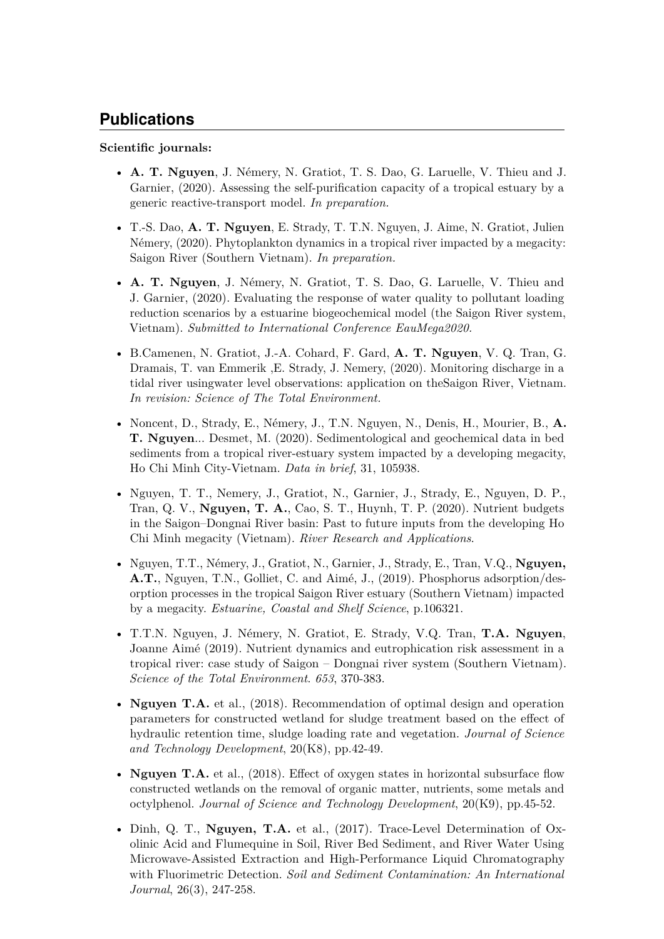# **Publications**

#### **Scientific journals:**

- **A. T. Nguyen**, J. Némery, N. Gratiot, T. S. Dao, G. Laruelle, V. Thieu and J. Garnier, (2020). Assessing the self-purification capacity of a tropical estuary by a generic reactive-transport model. *In preparation.*
- T.-S. Dao, **A. T. Nguyen**, E. Strady, T. T.N. Nguyen, J. Aime, N. Gratiot, Julien Némery, (2020). Phytoplankton dynamics in a tropical river impacted by a megacity: Saigon River (Southern Vietnam). *In preparation.*
- **A. T. Nguyen**, J. Némery, N. Gratiot, T. S. Dao, G. Laruelle, V. Thieu and J. Garnier, (2020). Evaluating the response of water quality to pollutant loading reduction scenarios by a estuarine biogeochemical model (the Saigon River system, Vietnam). *Submitted to International Conference EauMega2020.*
- B.Camenen, N. Gratiot, J.-A. Cohard, F. Gard, **A. T. Nguyen**, V. Q. Tran, G. Dramais, T. van Emmerik ,E. Strady, J. Nemery, (2020). Monitoring discharge in a tidal river usingwater level observations: application on theSaigon River, Vietnam. *In revision: Science of The Total Environment.*
- Noncent, D., Strady, E., Némery, J., T.N. Nguyen, N., Denis, H., Mourier, B., **A. T. Nguyen**... Desmet, M. (2020). Sedimentological and geochemical data in bed sediments from a tropical river-estuary system impacted by a developing megacity, Ho Chi Minh City-Vietnam. *Data in brief*, 31, 105938.
- Nguyen, T. T., Nemery, J., Gratiot, N., Garnier, J., Strady, E., Nguyen, D. P., Tran, Q. V., **Nguyen, T. A.**, Cao, S. T., Huynh, T. P. (2020). Nutrient budgets in the Saigon–Dongnai River basin: Past to future inputs from the developing Ho Chi Minh megacity (Vietnam). *River Research and Applications*.
- Nguyen, T.T., Némery, J., Gratiot, N., Garnier, J., Strady, E., Tran, V.Q., **Nguyen, A.T.**, Nguyen, T.N., Golliet, C. and Aimé, J., (2019). Phosphorus adsorption/desorption processes in the tropical Saigon River estuary (Southern Vietnam) impacted by a megacity. *Estuarine, Coastal and Shelf Science*, p.106321.
- T.T.N. Nguyen, J. Némery, N. Gratiot, E. Strady, V.Q. Tran, **T.A. Nguyen**, Joanne Aimé (2019). Nutrient dynamics and eutrophication risk assessment in a tropical river: case study of Saigon – Dongnai river system (Southern Vietnam). *Science of the Total Environment*. *653*, 370-383.
- **Nguyen T.A.** et al., (2018). Recommendation of optimal design and operation parameters for constructed wetland for sludge treatment based on the effect of hydraulic retention time, sludge loading rate and vegetation. *Journal of Science and Technology Development*, 20(K8), pp.42-49.
- **Nguyen T.A.** et al., (2018). Effect of oxygen states in horizontal subsurface flow constructed wetlands on the removal of organic matter, nutrients, some metals and octylphenol. *Journal of Science and Technology Development*, 20(K9), pp.45-52.
- Dinh, Q. T., **Nguyen, T.A.** et al., (2017). Trace-Level Determination of Oxolinic Acid and Flumequine in Soil, River Bed Sediment, and River Water Using Microwave-Assisted Extraction and High-Performance Liquid Chromatography with Fluorimetric Detection. *Soil and Sediment Contamination: An International Journal*, 26(3), 247-258.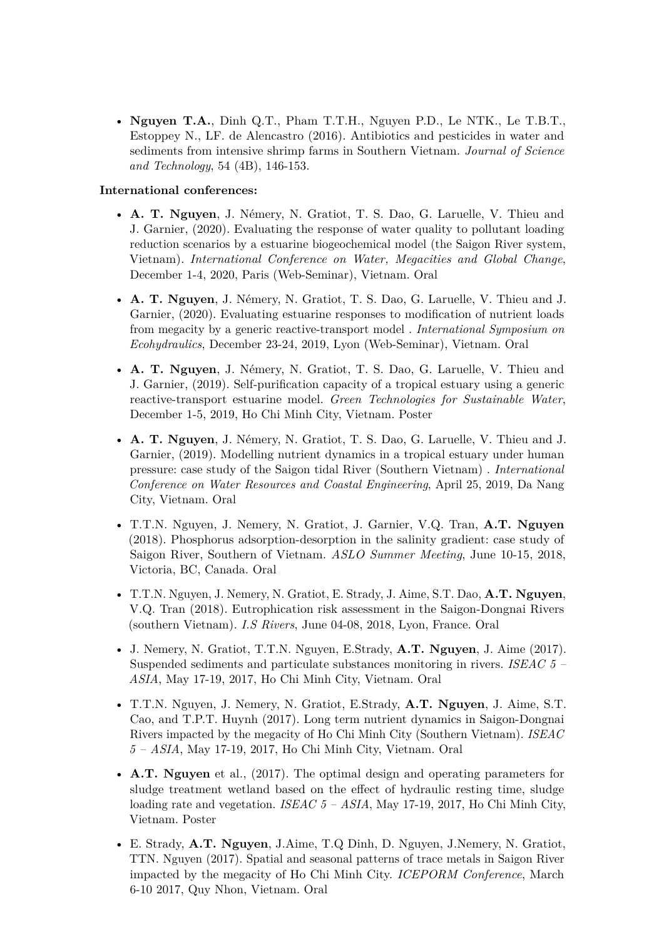• **Nguyen T.A.**, Dinh Q.T., Pham T.T.H., Nguyen P.D., Le NTK., Le T.B.T., Estoppey N., LF. de Alencastro (2016). Antibiotics and pesticides in water and sediments from intensive shrimp farms in Southern Vietnam. *Journal of Science and Technology*, 54 (4B), 146-153.

#### **International conferences:**

- **A. T. Nguyen**, J. Némery, N. Gratiot, T. S. Dao, G. Laruelle, V. Thieu and J. Garnier, (2020). Evaluating the response of water quality to pollutant loading reduction scenarios by a estuarine biogeochemical model (the Saigon River system, Vietnam). *International Conference on Water, Megacities and Global Change*, December 1-4, 2020, Paris (Web-Seminar), Vietnam. Oral
- **A. T. Nguyen**, J. Némery, N. Gratiot, T. S. Dao, G. Laruelle, V. Thieu and J. Garnier, (2020). Evaluating estuarine responses to modification of nutrient loads from megacity by a generic reactive-transport model . *International Symposium on Ecohydraulics*, December 23-24, 2019, Lyon (Web-Seminar), Vietnam. Oral
- **A. T. Nguyen**, J. Némery, N. Gratiot, T. S. Dao, G. Laruelle, V. Thieu and J. Garnier, (2019). Self‐purification capacity of a tropical estuary using a generic reactive-transport estuarine model. *Green Technologies for Sustainable Water*, December 1-5, 2019, Ho Chi Minh City, Vietnam. Poster
- **A. T. Nguyen**, J. Némery, N. Gratiot, T. S. Dao, G. Laruelle, V. Thieu and J. Garnier, (2019). Modelling nutrient dynamics in a tropical estuary under human pressure: case study of the Saigon tidal River (Southern Vietnam) . *International Conference on Water Resources and Coastal Engineering*, April 25, 2019, Da Nang City, Vietnam. Oral
- T.T.N. Nguyen, J. Nemery, N. Gratiot, J. Garnier, V.Q. Tran, **A.T. Nguyen** (2018). Phosphorus adsorption-desorption in the salinity gradient: case study of Saigon River, Southern of Vietnam. *ASLO Summer Meeting*, June 10-15, 2018, Victoria, BC, Canada. Oral
- T.T.N. Nguyen, J. Nemery, N. Gratiot, E. Strady, J. Aime, S.T. Dao, **A.T. Nguyen**, V.Q. Tran (2018). Eutrophication risk assessment in the Saigon-Dongnai Rivers (southern Vietnam). *I.S Rivers*, June 04-08, 2018, Lyon, France. Oral
- J. Nemery, N. Gratiot, T.T.N. Nguyen, E.Strady, **A.T. Nguyen**, J. Aime (2017). Suspended sediments and particulate substances monitoring in rivers. *ISEAC 5 – ASIA*, May 17-19, 2017, Ho Chi Minh City, Vietnam. Oral
- T.T.N. Nguyen, J. Nemery, N. Gratiot, E.Strady, **A.T. Nguyen**, J. Aime, S.T. Cao, and T.P.T. Huynh (2017). Long term nutrient dynamics in Saigon-Dongnai Rivers impacted by the megacity of Ho Chi Minh City (Southern Vietnam). *ISEAC 5 – ASIA*, May 17-19, 2017, Ho Chi Minh City, Vietnam. Oral
- **A.T. Nguyen** et al., (2017). The optimal design and operating parameters for sludge treatment wetland based on the effect of hydraulic resting time, sludge loading rate and vegetation. *ISEAC 5 – ASIA*, May 17-19, 2017, Ho Chi Minh City, Vietnam. Poster
- E. Strady, **A.T. Nguyen**, J.Aime, T.Q Dinh, D. Nguyen, J.Nemery, N. Gratiot, TTN. Nguyen (2017). Spatial and seasonal patterns of trace metals in Saigon River impacted by the megacity of Ho Chi Minh City. *ICEPORM Conference*, March 6-10 2017, Quy Nhon, Vietnam. Oral